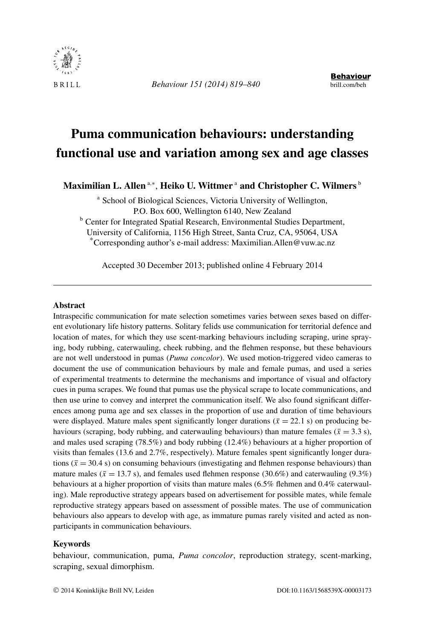

*Behaviour 151 (2014) 819–840* brill.com/beh

# **Puma communication behaviours: understanding functional use and variation among sex and age classes**

Maximilian L. Allen <sup>a,∗</sup>, Heiko U. Wittmer <sup>a</sup> and Christopher C. Wilmers <sup>b</sup>

<sup>a</sup> School of Biological Sciences, Victoria University of Wellington, P.O. Box 600, Wellington 6140, New Zealand

**b** Center for Integrated Spatial Research, Environmental Studies Department, University of California, 1156 High Street, Santa Cruz, CA, 95064, USA

\*Corresponding author's e-mail address: Maximilian.Allen@vuw.ac.nz

Accepted 30 December 2013; published online 4 February 2014

#### **Abstract**

Intraspecific communication for mate selection sometimes varies between sexes based on different evolutionary life history patterns. Solitary felids use communication for territorial defence and location of mates, for which they use scent-marking behaviours including scraping, urine spraying, body rubbing, caterwauling, cheek rubbing, and the flehmen response, but these behaviours are not well understood in pumas (*Puma concolor*). We used motion-triggered video cameras to document the use of communication behaviours by male and female pumas, and used a series of experimental treatments to determine the mechanisms and importance of visual and olfactory cues in puma scrapes. We found that pumas use the physical scrape to locate communications, and then use urine to convey and interpret the communication itself. We also found significant differences among puma age and sex classes in the proportion of use and duration of time behaviours were displayed. Mature males spent significantly longer durations ( $\bar{x} = 22.1$  s) on producing behaviours (scraping, body rubbing, and caterwauling behaviours) than mature females ( $\bar{x} = 3.3$  s), and males used scraping (78.5%) and body rubbing (12.4%) behaviours at a higher proportion of visits than females (13.6 and 2.7%, respectively). Mature females spent significantly longer durations ( $\bar{x}$  = 30.4 s) on consuming behaviours (investigating and flehmen response behaviours) than mature males ( $\bar{x} = 13.7$  s), and females used flehmen response (30.6%) and caterwauling (9.3%) behaviours at a higher proportion of visits than mature males (6.5% flehmen and 0.4% caterwauling). Male reproductive strategy appears based on advertisement for possible mates, while female reproductive strategy appears based on assessment of possible mates. The use of communication behaviours also appears to develop with age, as immature pumas rarely visited and acted as nonparticipants in communication behaviours.

#### **Keywords**

behaviour, communication, puma, *Puma concolor*, reproduction strategy, scent-marking, scraping, sexual dimorphism.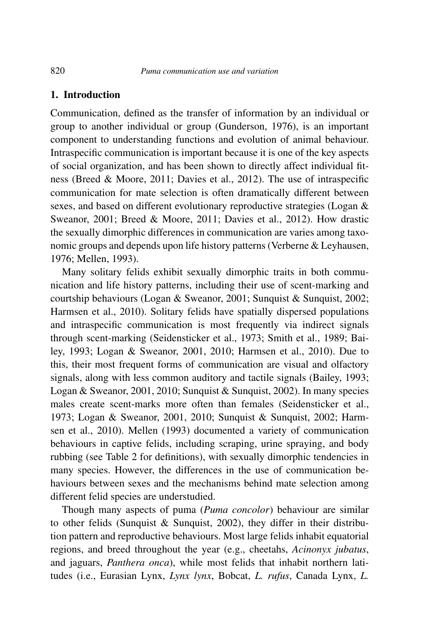### **1. Introduction**

Communication, defined as the transfer of information by an individual or group to another individual or group (Gunderson, 1976), is an important component to understanding functions and evolution of animal behaviour. Intraspecific communication is important because it is one of the key aspects of social organization, and has been shown to directly affect individual fitness (Breed & Moore, 2011; Davies et al., 2012). The use of intraspecific communication for mate selection is often dramatically different between sexes, and based on different evolutionary reproductive strategies (Logan & Sweanor, 2001; Breed & Moore, 2011; Davies et al., 2012). How drastic the sexually dimorphic differences in communication are varies among taxonomic groups and depends upon life history patterns (Verberne & Leyhausen, 1976; Mellen, 1993).

Many solitary felids exhibit sexually dimorphic traits in both communication and life history patterns, including their use of scent-marking and courtship behaviours (Logan & Sweanor, 2001; Sunquist & Sunquist, 2002; Harmsen et al., 2010). Solitary felids have spatially dispersed populations and intraspecific communication is most frequently via indirect signals through scent-marking (Seidensticker et al., 1973; Smith et al., 1989; Bailey, 1993; Logan & Sweanor, 2001, 2010; Harmsen et al., 2010). Due to this, their most frequent forms of communication are visual and olfactory signals, along with less common auditory and tactile signals (Bailey, 1993; Logan & Sweanor, 2001, 2010; Sunquist & Sunquist, 2002). In many species males create scent-marks more often than females (Seidensticker et al., 1973; Logan & Sweanor, 2001, 2010; Sunquist & Sunquist, 2002; Harmsen et al., 2010). Mellen (1993) documented a variety of communication behaviours in captive felids, including scraping, urine spraying, and body rubbing (see Table 2 for definitions), with sexually dimorphic tendencies in many species. However, the differences in the use of communication behaviours between sexes and the mechanisms behind mate selection among different felid species are understudied.

Though many aspects of puma (*Puma concolor*) behaviour are similar to other felids (Sunquist & Sunquist, 2002), they differ in their distribution pattern and reproductive behaviours. Most large felids inhabit equatorial regions, and breed throughout the year (e.g., cheetahs, *Acinonyx jubatus*, and jaguars, *Panthera onca*), while most felids that inhabit northern latitudes (i.e., Eurasian Lynx, *Lynx lynx*, Bobcat, *L. rufus*, Canada Lynx, *L.*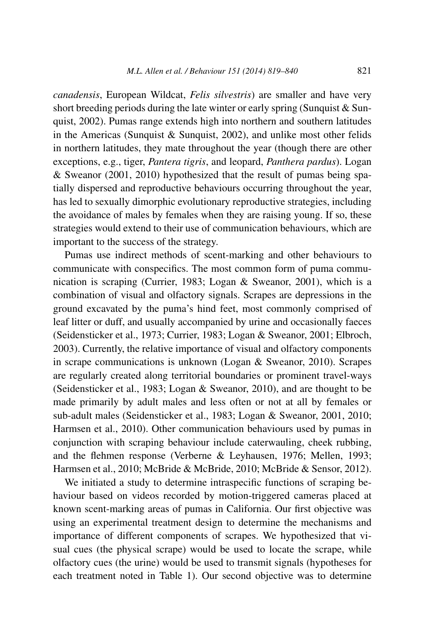*canadensis*, European Wildcat, *Felis silvestris*) are smaller and have very short breeding periods during the late winter or early spring (Sunquist  $& Sun$ quist, 2002). Pumas range extends high into northern and southern latitudes in the Americas (Sunquist & Sunquist, 2002), and unlike most other felids in northern latitudes, they mate throughout the year (though there are other exceptions, e.g., tiger, *Pantera tigris*, and leopard, *Panthera pardus*). Logan & Sweanor (2001, 2010) hypothesized that the result of pumas being spatially dispersed and reproductive behaviours occurring throughout the year, has led to sexually dimorphic evolutionary reproductive strategies, including the avoidance of males by females when they are raising young. If so, these strategies would extend to their use of communication behaviours, which are important to the success of the strategy.

Pumas use indirect methods of scent-marking and other behaviours to communicate with conspecifics. The most common form of puma communication is scraping (Currier, 1983; Logan & Sweanor, 2001), which is a combination of visual and olfactory signals. Scrapes are depressions in the ground excavated by the puma's hind feet, most commonly comprised of leaf litter or duff, and usually accompanied by urine and occasionally faeces (Seidensticker et al., 1973; Currier, 1983; Logan & Sweanor, 2001; Elbroch, 2003). Currently, the relative importance of visual and olfactory components in scrape communications is unknown (Logan & Sweanor, 2010). Scrapes are regularly created along territorial boundaries or prominent travel-ways (Seidensticker et al., 1983; Logan & Sweanor, 2010), and are thought to be made primarily by adult males and less often or not at all by females or sub-adult males (Seidensticker et al., 1983; Logan & Sweanor, 2001, 2010; Harmsen et al., 2010). Other communication behaviours used by pumas in conjunction with scraping behaviour include caterwauling, cheek rubbing, and the flehmen response (Verberne & Leyhausen, 1976; Mellen, 1993; Harmsen et al., 2010; McBride & McBride, 2010; McBride & Sensor, 2012).

We initiated a study to determine intraspecific functions of scraping behaviour based on videos recorded by motion-triggered cameras placed at known scent-marking areas of pumas in California. Our first objective was using an experimental treatment design to determine the mechanisms and importance of different components of scrapes. We hypothesized that visual cues (the physical scrape) would be used to locate the scrape, while olfactory cues (the urine) would be used to transmit signals (hypotheses for each treatment noted in Table 1). Our second objective was to determine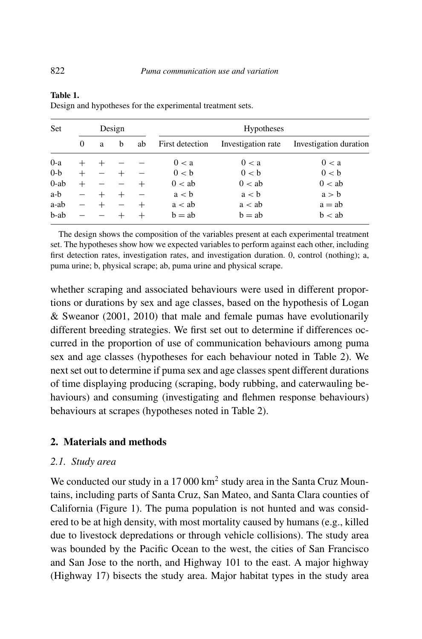| Set     |   |   | Design |    |                 | <b>Hypotheses</b>  |                        |
|---------|---|---|--------|----|-----------------|--------------------|------------------------|
|         | 0 | a | b      | ab | First detection | Investigation rate | Investigation duration |
| $0-a$   |   |   |        |    | 0 < a           | 0 < a              | 0 < a                  |
| $0-b$   |   |   |        |    | 0 < b           | 0 < b              | 0 < b                  |
| $0$ -ab |   |   |        |    | 0 < ab          | 0 < ab             | 0 < ab                 |
| a-b     |   |   | $^+$   |    | a < b           | a < b              | a > b                  |
| a-ab    |   |   |        |    | a < ab          | a < ab             | $a = ab$               |
| b-ab    |   |   |        |    | $b = ab$        | $b = ab$           | b < ab                 |

**Table 1.** Design and hypotheses for the experimental treatment sets.

The design shows the composition of the variables present at each experimental treatment set. The hypotheses show how we expected variables to perform against each other, including first detection rates, investigation rates, and investigation duration. 0, control (nothing); a, puma urine; b, physical scrape; ab, puma urine and physical scrape.

whether scraping and associated behaviours were used in different proportions or durations by sex and age classes, based on the hypothesis of Logan & Sweanor (2001, 2010) that male and female pumas have evolutionarily different breeding strategies. We first set out to determine if differences occurred in the proportion of use of communication behaviours among puma sex and age classes (hypotheses for each behaviour noted in Table 2). We next set out to determine if puma sex and age classes spent different durations of time displaying producing (scraping, body rubbing, and caterwauling behaviours) and consuming (investigating and flehmen response behaviours) behaviours at scrapes (hypotheses noted in Table 2).

# **2. Materials and methods**

#### *2.1. Study area*

We conducted our study in a 17 000 km<sup>2</sup> study area in the Santa Cruz Mountains, including parts of Santa Cruz, San Mateo, and Santa Clara counties of California (Figure 1). The puma population is not hunted and was considered to be at high density, with most mortality caused by humans (e.g., killed due to livestock depredations or through vehicle collisions). The study area was bounded by the Pacific Ocean to the west, the cities of San Francisco and San Jose to the north, and Highway 101 to the east. A major highway (Highway 17) bisects the study area. Major habitat types in the study area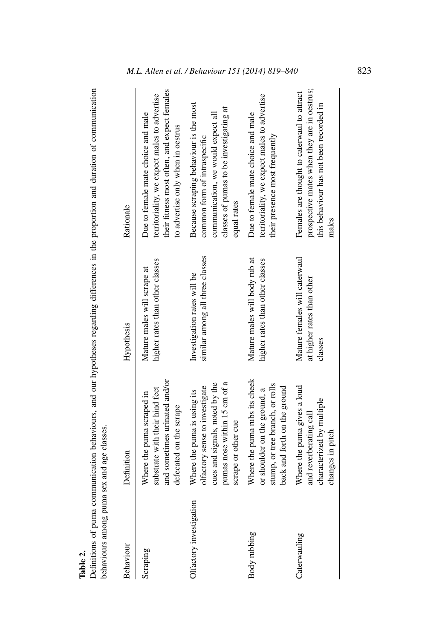| ω<br>э |  |
|--------|--|
|        |  |
|        |  |
|        |  |

Definitions of puma communication behaviours, and our hypotheses regarding differences in the proportion and duration of communication<br>behaviours among puma sex and age classes. Definitions of puma communication behaviours, and our hypotheses regarding differences in the proportion and duration of communication behaviours among puma sex and age classes.

| Behaviour               | Definition                                                                                                                                             | Hypothesis                                                             | Rationale                                                                                                                                                               |
|-------------------------|--------------------------------------------------------------------------------------------------------------------------------------------------------|------------------------------------------------------------------------|-------------------------------------------------------------------------------------------------------------------------------------------------------------------------|
| Scraping                | and sometimes urinated and/or<br>substrate with their hind feet<br>Where the puma scraped in<br>defecated on the scrape                                | higher rates than other classes<br>Mature males will scrape at         | their fitness most often, and expect females<br>territoriality, we expect males to advertise<br>Due to female mate choice and male<br>to advertise only when in oestrus |
| Olfactory investigation | pumas nose within 15 cm of a<br>cues and signals, noted by the<br>olfactory sense to investigate<br>Where the puma is using its<br>scrape or other cue | similar among all three classes<br>Investigation rates will be         | Because scraping behaviour is the most<br>classes of pumas to be investigating at<br>communication, we would expect all<br>common form of intraspecific<br>equal rates  |
| Body rubbing            | Where the puma rubs its cheek<br>stump, or tree branch, or rolls<br>back and forth on the ground<br>or shoulder on the ground, a                       | Mature males will body rub at<br>higher rates than other classes       | territoriality, we expect males to advertise<br>Due to female mate choice and male<br>their presence most frequently                                                    |
| Caterwauling            | Where the puma gives a loud<br>characterized by multiple<br>and reverberating call<br>changes in pitch                                                 | Mature females will caterwaul<br>at higher rates than other<br>classes | prospective mates when they are in oestrus;<br>Females are thought to caterwaul to attract<br>this behaviour has not been recorded in<br>males                          |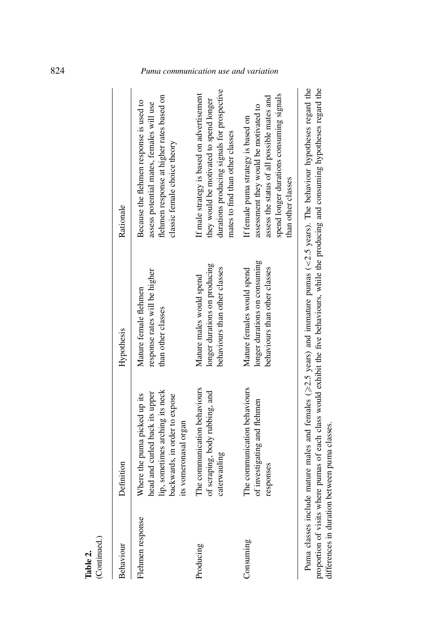| (Continued.)<br>Table 2. |                                                                                                                                                             |                                                                                              |                                                                                                                                                                                               |
|--------------------------|-------------------------------------------------------------------------------------------------------------------------------------------------------------|----------------------------------------------------------------------------------------------|-----------------------------------------------------------------------------------------------------------------------------------------------------------------------------------------------|
| Behaviour                | Definition                                                                                                                                                  | Hypothesis                                                                                   | Rationale                                                                                                                                                                                     |
| Flehmen response         | lip, sometimes arching its neck<br>head and curled back its upper<br>Where the puma picked up its<br>backwards, in order to expose<br>its vomeronasal organ | response rates will be higher<br>Mature female flehmen<br>than other classes                 | flehmen response at higher rates based on<br>Because the flehmen response is used to<br>assess potential mates, females will use<br>classic female choice theory                              |
| Producing                | The communication behaviours<br>of scraping, body rubbing, and<br>caterwauling                                                                              | longer durations on producing<br>behaviours than other classes<br>Mature males would spend   | durations producing signals for prospective<br>If male strategy is based on advertisement<br>they would be motivated to spend longer<br>mates to find than other classes                      |
| Consuming                | The communication behaviours<br>of investigating and flehmen<br>responses                                                                                   | longer durations on consuming<br>behaviours than other classes<br>Mature females would spend | spend longer durations consuming signals<br>assess the status of all possible mates and<br>assessment they would be motivated to<br>If female puma strategy is based on<br>than other classes |
|                          |                                                                                                                                                             |                                                                                              | Puma classes include mature males and females ( $\geq$ 2.5 years) and immature pumas ( $\lt$ 2.5 years). The behaviour hypotheses regard the                                                  |

proportion of visits where pumas of each class would exhibit the five behaviours, while the producing and consuming hypotheses regard the differences in duration between puma classes. proportion of visits where pumas of each class would exhibit the five behaviours, while the producing and consuming hypotheses regard the differences in duration between puma classes.

# 824 *Puma communication use and variation*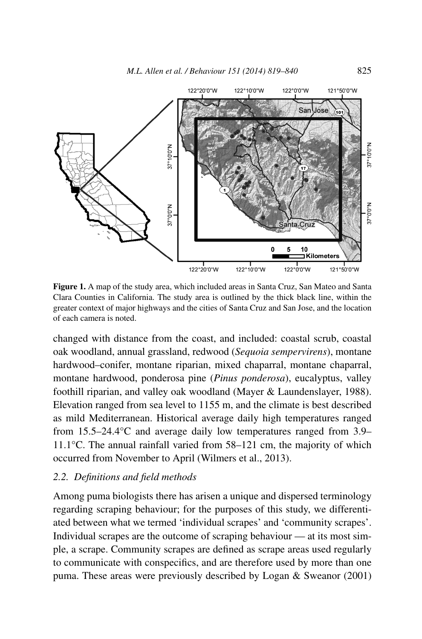

**Figure 1.** A map of the study area, which included areas in Santa Cruz, San Mateo and Santa Clara Counties in California. The study area is outlined by the thick black line, within the greater context of major highways and the cities of Santa Cruz and San Jose, and the location of each camera is noted.

changed with distance from the coast, and included: coastal scrub, coastal oak woodland, annual grassland, redwood (*Sequoia sempervirens*), montane hardwood–conifer, montane riparian, mixed chaparral, montane chaparral, montane hardwood, ponderosa pine (*Pinus ponderosa*), eucalyptus, valley foothill riparian, and valley oak woodland (Mayer & Laundenslayer, 1988). Elevation ranged from sea level to 1155 m, and the climate is best described as mild Mediterranean. Historical average daily high temperatures ranged from 15.5–24.4°C and average daily low temperatures ranged from 3.9– 11.1°C. The annual rainfall varied from 58–121 cm, the majority of which occurred from November to April (Wilmers et al., 2013).

#### *2.2. Definitions and field methods*

Among puma biologists there has arisen a unique and dispersed terminology regarding scraping behaviour; for the purposes of this study, we differentiated between what we termed 'individual scrapes' and 'community scrapes'. Individual scrapes are the outcome of scraping behaviour — at its most simple, a scrape. Community scrapes are defined as scrape areas used regularly to communicate with conspecifics, and are therefore used by more than one puma. These areas were previously described by Logan & Sweanor (2001)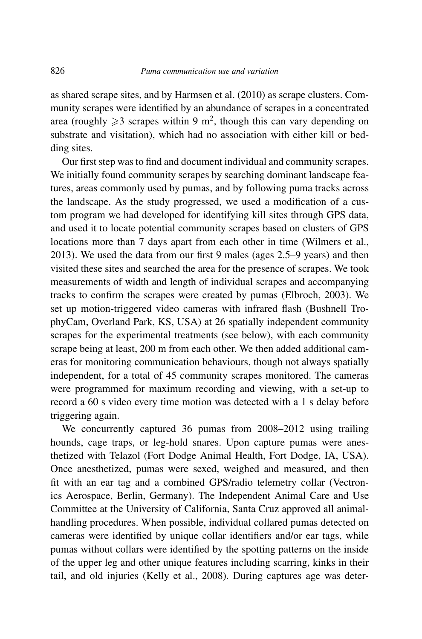as shared scrape sites, and by Harmsen et al. (2010) as scrape clusters. Community scrapes were identified by an abundance of scrapes in a concentrated area (roughly  $\geq 3$  scrapes within 9 m<sup>2</sup>, though this can vary depending on substrate and visitation), which had no association with either kill or bedding sites.

Our first step was to find and document individual and community scrapes. We initially found community scrapes by searching dominant landscape features, areas commonly used by pumas, and by following puma tracks across the landscape. As the study progressed, we used a modification of a custom program we had developed for identifying kill sites through GPS data, and used it to locate potential community scrapes based on clusters of GPS locations more than 7 days apart from each other in time (Wilmers et al., 2013). We used the data from our first 9 males (ages 2.5–9 years) and then visited these sites and searched the area for the presence of scrapes. We took measurements of width and length of individual scrapes and accompanying tracks to confirm the scrapes were created by pumas (Elbroch, 2003). We set up motion-triggered video cameras with infrared flash (Bushnell TrophyCam, Overland Park, KS, USA) at 26 spatially independent community scrapes for the experimental treatments (see below), with each community scrape being at least, 200 m from each other. We then added additional cameras for monitoring communication behaviours, though not always spatially independent, for a total of 45 community scrapes monitored. The cameras were programmed for maximum recording and viewing, with a set-up to record a 60 s video every time motion was detected with a 1 s delay before triggering again.

We concurrently captured 36 pumas from 2008–2012 using trailing hounds, cage traps, or leg-hold snares. Upon capture pumas were anesthetized with Telazol (Fort Dodge Animal Health, Fort Dodge, IA, USA). Once anesthetized, pumas were sexed, weighed and measured, and then fit with an ear tag and a combined GPS/radio telemetry collar (Vectronics Aerospace, Berlin, Germany). The Independent Animal Care and Use Committee at the University of California, Santa Cruz approved all animalhandling procedures. When possible, individual collared pumas detected on cameras were identified by unique collar identifiers and/or ear tags, while pumas without collars were identified by the spotting patterns on the inside of the upper leg and other unique features including scarring, kinks in their tail, and old injuries (Kelly et al., 2008). During captures age was deter-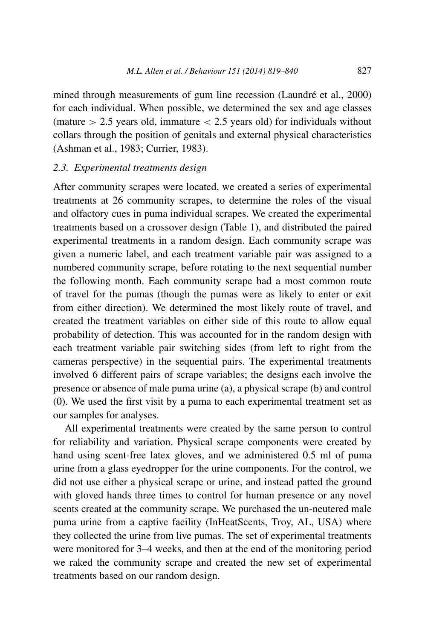mined through measurements of gum line recession (Laundré et al., 2000) for each individual. When possible, we determined the sex and age classes (mature *>* 2.5 years old, immature *<* 2.5 years old) for individuals without collars through the position of genitals and external physical characteristics (Ashman et al., 1983; Currier, 1983).

### *2.3. Experimental treatments design*

After community scrapes were located, we created a series of experimental treatments at 26 community scrapes, to determine the roles of the visual and olfactory cues in puma individual scrapes. We created the experimental treatments based on a crossover design (Table 1), and distributed the paired experimental treatments in a random design. Each community scrape was given a numeric label, and each treatment variable pair was assigned to a numbered community scrape, before rotating to the next sequential number the following month. Each community scrape had a most common route of travel for the pumas (though the pumas were as likely to enter or exit from either direction). We determined the most likely route of travel, and created the treatment variables on either side of this route to allow equal probability of detection. This was accounted for in the random design with each treatment variable pair switching sides (from left to right from the cameras perspective) in the sequential pairs. The experimental treatments involved 6 different pairs of scrape variables; the designs each involve the presence or absence of male puma urine (a), a physical scrape (b) and control (0). We used the first visit by a puma to each experimental treatment set as our samples for analyses.

All experimental treatments were created by the same person to control for reliability and variation. Physical scrape components were created by hand using scent-free latex gloves, and we administered 0.5 ml of puma urine from a glass eyedropper for the urine components. For the control, we did not use either a physical scrape or urine, and instead patted the ground with gloved hands three times to control for human presence or any novel scents created at the community scrape. We purchased the un-neutered male puma urine from a captive facility (InHeatScents, Troy, AL, USA) where they collected the urine from live pumas. The set of experimental treatments were monitored for 3–4 weeks, and then at the end of the monitoring period we raked the community scrape and created the new set of experimental treatments based on our random design.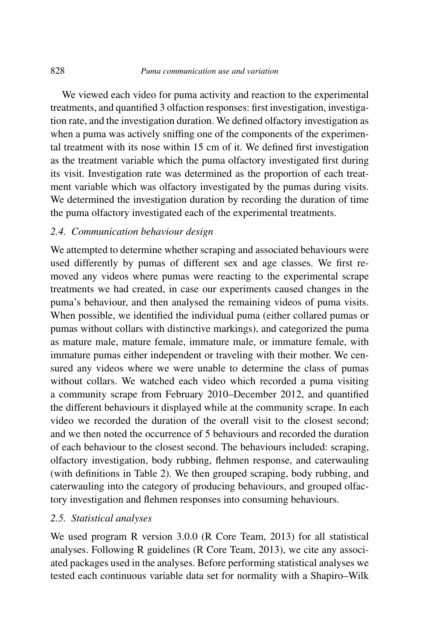We viewed each video for puma activity and reaction to the experimental treatments, and quantified 3 olfaction responses: first investigation, investigation rate, and the investigation duration. We defined olfactory investigation as when a puma was actively sniffing one of the components of the experimental treatment with its nose within 15 cm of it. We defined first investigation as the treatment variable which the puma olfactory investigated first during its visit. Investigation rate was determined as the proportion of each treatment variable which was olfactory investigated by the pumas during visits. We determined the investigation duration by recording the duration of time the puma olfactory investigated each of the experimental treatments.

#### *2.4. Communication behaviour design*

We attempted to determine whether scraping and associated behaviours were used differently by pumas of different sex and age classes. We first removed any videos where pumas were reacting to the experimental scrape treatments we had created, in case our experiments caused changes in the puma's behaviour, and then analysed the remaining videos of puma visits. When possible, we identified the individual puma (either collared pumas or pumas without collars with distinctive markings), and categorized the puma as mature male, mature female, immature male, or immature female, with immature pumas either independent or traveling with their mother. We censured any videos where we were unable to determine the class of pumas without collars. We watched each video which recorded a puma visiting a community scrape from February 2010–December 2012, and quantified the different behaviours it displayed while at the community scrape. In each video we recorded the duration of the overall visit to the closest second; and we then noted the occurrence of 5 behaviours and recorded the duration of each behaviour to the closest second. The behaviours included: scraping, olfactory investigation, body rubbing, flehmen response, and caterwauling (with definitions in Table 2). We then grouped scraping, body rubbing, and caterwauling into the category of producing behaviours, and grouped olfactory investigation and flehmen responses into consuming behaviours.

# *2.5. Statistical analyses*

We used program R version 3.0.0 (R Core Team, 2013) for all statistical analyses. Following R guidelines (R Core Team, 2013), we cite any associated packages used in the analyses. Before performing statistical analyses we tested each continuous variable data set for normality with a Shapiro–Wilk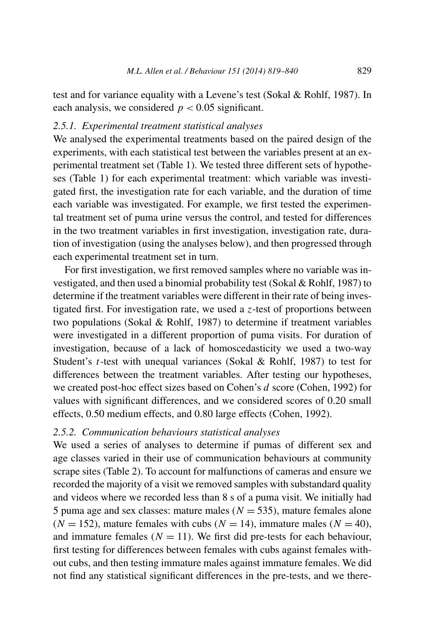test and for variance equality with a Levene's test (Sokal & Rohlf, 1987). In each analysis, we considered  $p < 0.05$  significant.

# *2.5.1. Experimental treatment statistical analyses*

We analysed the experimental treatments based on the paired design of the experiments, with each statistical test between the variables present at an experimental treatment set (Table 1). We tested three different sets of hypotheses (Table 1) for each experimental treatment: which variable was investigated first, the investigation rate for each variable, and the duration of time each variable was investigated. For example, we first tested the experimental treatment set of puma urine versus the control, and tested for differences in the two treatment variables in first investigation, investigation rate, duration of investigation (using the analyses below), and then progressed through each experimental treatment set in turn.

For first investigation, we first removed samples where no variable was investigated, and then used a binomial probability test (Sokal & Rohlf, 1987) to determine if the treatment variables were different in their rate of being investigated first. For investigation rate, we used a *z*-test of proportions between two populations (Sokal & Rohlf, 1987) to determine if treatment variables were investigated in a different proportion of puma visits. For duration of investigation, because of a lack of homoscedasticity we used a two-way Student's *t*-test with unequal variances (Sokal & Rohlf, 1987) to test for differences between the treatment variables. After testing our hypotheses, we created post-hoc effect sizes based on Cohen's *d* score (Cohen, 1992) for values with significant differences, and we considered scores of 0.20 small effects, 0.50 medium effects, and 0.80 large effects (Cohen, 1992).

#### *2.5.2. Communication behaviours statistical analyses*

We used a series of analyses to determine if pumas of different sex and age classes varied in their use of communication behaviours at community scrape sites (Table 2). To account for malfunctions of cameras and ensure we recorded the majority of a visit we removed samples with substandard quality and videos where we recorded less than 8 s of a puma visit. We initially had 5 puma age and sex classes: mature males  $(N = 535)$ , mature females alone  $(N = 152)$ , mature females with cubs  $(N = 14)$ , immature males  $(N = 40)$ , and immature females  $(N = 11)$ . We first did pre-tests for each behaviour, first testing for differences between females with cubs against females without cubs, and then testing immature males against immature females. We did not find any statistical significant differences in the pre-tests, and we there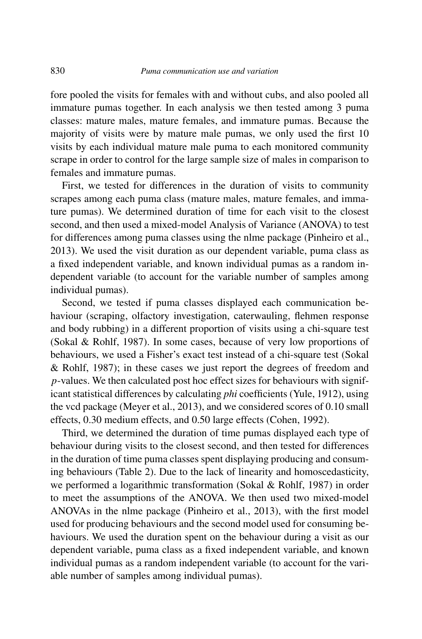fore pooled the visits for females with and without cubs, and also pooled all immature pumas together. In each analysis we then tested among 3 puma classes: mature males, mature females, and immature pumas. Because the majority of visits were by mature male pumas, we only used the first 10 visits by each individual mature male puma to each monitored community scrape in order to control for the large sample size of males in comparison to females and immature pumas.

First, we tested for differences in the duration of visits to community scrapes among each puma class (mature males, mature females, and immature pumas). We determined duration of time for each visit to the closest second, and then used a mixed-model Analysis of Variance (ANOVA) to test for differences among puma classes using the nlme package (Pinheiro et al., 2013). We used the visit duration as our dependent variable, puma class as a fixed independent variable, and known individual pumas as a random independent variable (to account for the variable number of samples among individual pumas).

Second, we tested if puma classes displayed each communication behaviour (scraping, olfactory investigation, caterwauling, flehmen response and body rubbing) in a different proportion of visits using a chi-square test (Sokal & Rohlf, 1987). In some cases, because of very low proportions of behaviours, we used a Fisher's exact test instead of a chi-square test (Sokal & Rohlf, 1987); in these cases we just report the degrees of freedom and *p*-values. We then calculated post hoc effect sizes for behaviours with significant statistical differences by calculating *phi* coefficients (Yule, 1912), using the vcd package (Meyer et al., 2013), and we considered scores of 0.10 small effects, 0.30 medium effects, and 0.50 large effects (Cohen, 1992).

Third, we determined the duration of time pumas displayed each type of behaviour during visits to the closest second, and then tested for differences in the duration of time puma classes spent displaying producing and consuming behaviours (Table 2). Due to the lack of linearity and homoscedasticity, we performed a logarithmic transformation (Sokal & Rohlf, 1987) in order to meet the assumptions of the ANOVA. We then used two mixed-model ANOVAs in the nlme package (Pinheiro et al., 2013), with the first model used for producing behaviours and the second model used for consuming behaviours. We used the duration spent on the behaviour during a visit as our dependent variable, puma class as a fixed independent variable, and known individual pumas as a random independent variable (to account for the variable number of samples among individual pumas).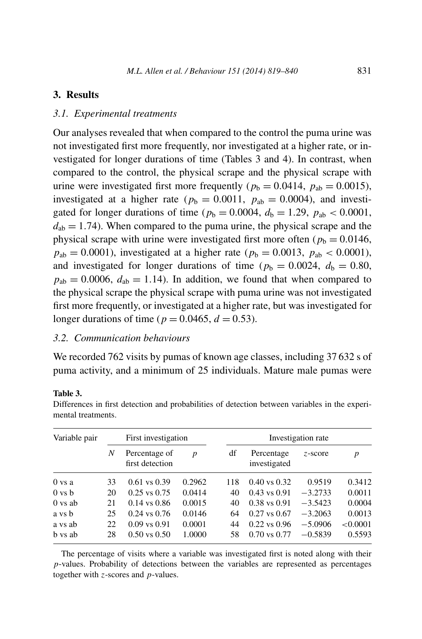### **3. Results**

#### *3.1. Experimental treatments*

Our analyses revealed that when compared to the control the puma urine was not investigated first more frequently, nor investigated at a higher rate, or investigated for longer durations of time (Tables 3 and 4). In contrast, when compared to the control, the physical scrape and the physical scrape with urine were investigated first more frequently ( $p_b = 0.0414$ ,  $p_{ab} = 0.0015$ ), investigated at a higher rate ( $p_b = 0.0011$ ,  $p_{ab} = 0.0004$ ), and investigated for longer durations of time ( $p_b = 0.0004$ ,  $d_b = 1.29$ ,  $p_{ab} < 0.0001$ ,  $d_{ab} = 1.74$ ). When compared to the puma urine, the physical scrape and the physical scrape with urine were investigated first more often ( $p<sub>b</sub> = 0.0146$ ,  $p_{ab} = 0.0001$ ), investigated at a higher rate ( $p_b = 0.0013$ ,  $p_{ab} < 0.0001$ ), and investigated for longer durations of time ( $p_b = 0.0024$ ,  $d_b = 0.80$ ,  $p_{ab} = 0.0006$ ,  $d_{ab} = 1.14$ ). In addition, we found that when compared to the physical scrape the physical scrape with puma urine was not investigated first more frequently, or investigated at a higher rate, but was investigated for longer durations of time ( $p = 0.0465$ ,  $d = 0.53$ ).

#### *3.2. Communication behaviours*

We recorded 762 visits by pumas of known age classes, including 37 632 s of puma activity, and a minimum of 25 individuals. Mature male pumas were

#### **Table 3.**

| Differences in first detection and probabilities of detection between variables in the experi- |  |  |  |
|------------------------------------------------------------------------------------------------|--|--|--|
| mental treatments.                                                                             |  |  |  |
|                                                                                                |  |  |  |

| Variable pair      |    | First investigation              |        | Investigation rate |                            |           |          |
|--------------------|----|----------------------------------|--------|--------------------|----------------------------|-----------|----------|
|                    | N  | Percentage of<br>first detection | p      | df                 | Percentage<br>investigated | z-score   | p        |
| $0$ vs a           | 33 | $0.61$ vs $0.39$                 | 0.2962 | 118                | $0.40$ vs $0.32$           | 0.9519    | 0.3412   |
| $0 \text{ vs } b$  | 20 | $0.25$ vs $0.75$                 | 0.0414 | 40                 | $0.43$ vs $0.91$           | $-3.2733$ | 0.0011   |
| $0 \text{ vs } ab$ | 21 | $0.14$ vs $0.86$                 | 0.0015 | 40                 | $0.38$ vs $0.91$           | $-3.5423$ | 0.0004   |
| a vs b             | 25 | $0.24$ vs $0.76$                 | 0.0146 | 64                 | $0.27$ vs $0.67$           | $-3.2063$ | 0.0013   |
| a vs ab            | 22 | $0.09$ vs $0.91$                 | 0.0001 | 44                 | $0.22$ vs $0.96$           | $-5.0906$ | < 0.0001 |
| h vs ab            | 28 | $0.50$ vs $0.50$                 | 1.0000 | 58                 | $0.70$ vs $0.77$           | $-0.5839$ | 0.5593   |

The percentage of visits where a variable was investigated first is noted along with their *p*-values. Probability of detections between the variables are represented as percentages together with *z*-scores and *p*-values.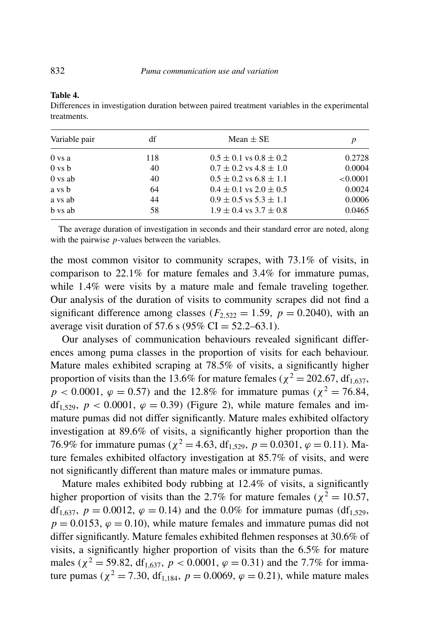#### **Table 4.**

Differences in investigation duration between paired treatment variables in the experimental treatments.

| Variable pair      | df  | Mean $\pm$ SE                  |          |
|--------------------|-----|--------------------------------|----------|
| 0 vs a             | 118 | $0.5 \pm 0.1$ vs $0.8 \pm 0.2$ | 0.2728   |
| $0 \text{ vs } b$  | 40  | $0.7 \pm 0.2$ vs $4.8 \pm 1.0$ | 0.0004   |
| $0 \text{ vs } ab$ | 40  | $0.5 \pm 0.2$ vs $6.8 \pm 1.1$ | < 0.0001 |
| a vs b             | 64  | $0.4 \pm 0.1$ vs $2.0 \pm 0.5$ | 0.0024   |
| a vs ab            | 44  | $0.9 \pm 0.5$ vs $5.3 \pm 1.1$ | 0.0006   |
| b vs ab            | 58  | $1.9 \pm 0.4$ vs $3.7 \pm 0.8$ | 0.0465   |

The average duration of investigation in seconds and their standard error are noted, along with the pairwise *p*-values between the variables.

the most common visitor to community scrapes, with 73.1% of visits, in comparison to 22.1% for mature females and 3.4% for immature pumas, while 1.4% were visits by a mature male and female traveling together. Our analysis of the duration of visits to community scrapes did not find a significant difference among classes ( $F_{2,522} = 1.59$ ,  $p = 0.2040$ ), with an average visit duration of 57.6 s (95% CI =  $52.2 - 63.1$ ).

Our analyses of communication behaviours revealed significant differences among puma classes in the proportion of visits for each behaviour. Mature males exhibited scraping at 78.5% of visits, a significantly higher proportion of visits than the 13.6% for mature females ( $\chi^2$  = 202*.*67, df<sub>1.637</sub>,  $p < 0.0001$ ,  $\varphi = 0.57$ ) and the 12.8% for immature pumas ( $\chi^2 = 76.84$ , df<sub>1,529</sub>,  $p < 0.0001$ ,  $\varphi = 0.39$ ) (Figure 2), while mature females and immature pumas did not differ significantly. Mature males exhibited olfactory investigation at 89.6% of visits, a significantly higher proportion than the 76.9% for immature pumas ( $\chi^2 = 4.63$ , df<sub>1.529</sub>,  $p = 0.0301$ ,  $\varphi = 0.11$ ). Mature females exhibited olfactory investigation at 85.7% of visits, and were not significantly different than mature males or immature pumas.

Mature males exhibited body rubbing at 12.4% of visits, a significantly higher proportion of visits than the 2.7% for mature females ( $\chi^2 = 10.57$ , df<sub>1,637</sub>,  $p = 0.0012$ ,  $\varphi = 0.14$ ) and the 0.0% for immature pumas (df<sub>1,529</sub>,  $p = 0.0153$ ,  $\varphi = 0.10$ , while mature females and immature pumas did not differ significantly. Mature females exhibited flehmen responses at 30.6% of visits, a significantly higher proportion of visits than the 6.5% for mature males ( $\chi^2$  = 59.82, df<sub>1.637</sub>,  $p < 0.0001$ ,  $\varphi = 0.31$ ) and the 7.7% for immature pumas ( $\chi^2 = 7.30$ , df<sub>1,184</sub>,  $p = 0.0069$ ,  $\varphi = 0.21$ ), while mature males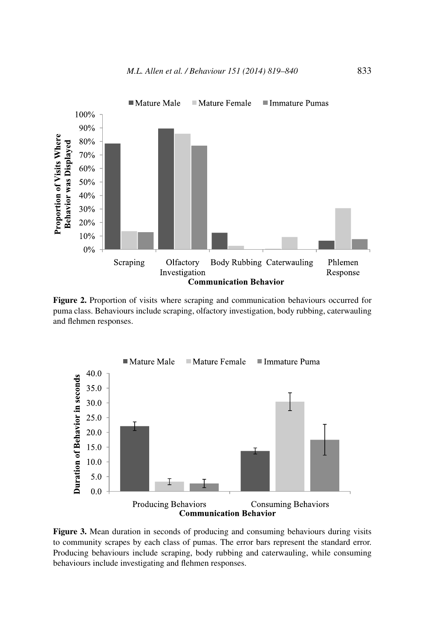

**Figure 2.** Proportion of visits where scraping and communication behaviours occurred for puma class. Behaviours include scraping, olfactory investigation, body rubbing, caterwauling and flehmen responses.



**Figure 3.** Mean duration in seconds of producing and consuming behaviours during visits to community scrapes by each class of pumas. The error bars represent the standard error. Producing behaviours include scraping, body rubbing and caterwauling, while consuming behaviours include investigating and flehmen responses.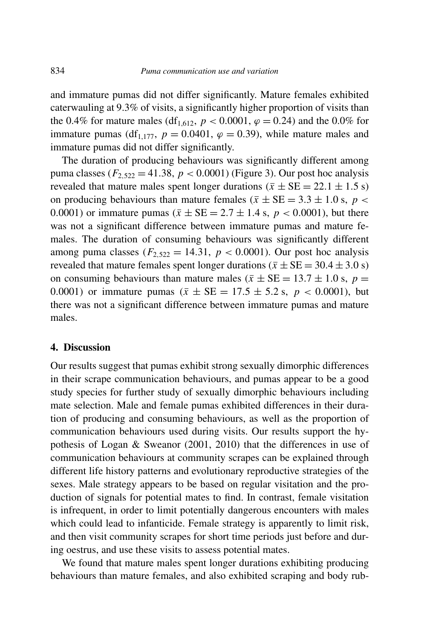and immature pumas did not differ significantly. Mature females exhibited caterwauling at 9.3% of visits, a significantly higher proportion of visits than the 0.4% for mature males (df<sub>1,612</sub>,  $p < 0.0001$ ,  $\varphi = 0.24$ ) and the 0.0% for immature pumas (df<sub>1,177</sub>,  $p = 0.0401$ ,  $\varphi = 0.39$ ), while mature males and immature pumas did not differ significantly.

The duration of producing behaviours was significantly different among puma classes ( $F_{2,522} = 41.38$ ,  $p < 0.0001$ ) (Figure 3). Our post hoc analysis revealed that mature males spent longer durations  $(\bar{x} \pm \text{SE} = 22.1 \pm 1.5 \text{ s})$ on producing behaviours than mature females ( $\bar{x} \pm SE = 3.3 \pm 1.0$  s,  $p <$ 0.0001) or immature pumas ( $\bar{x} \pm SE = 2.7 \pm 1.4$  s,  $p < 0.0001$ ), but there was not a significant difference between immature pumas and mature females. The duration of consuming behaviours was significantly different among puma classes ( $F_{2.522} = 14.31$ ,  $p < 0.0001$ ). Our post hoc analysis revealed that mature females spent longer durations ( $\bar{x} \pm SE = 30.4 \pm 3.0$  s) on consuming behaviours than mature males ( $\bar{x} \pm SE = 13.7 \pm 1.0$  s,  $p =$ 0.0001) or immature pumas ( $\bar{x} \pm SE = 17.5 \pm 5.2$  s,  $p < 0.0001$ ), but there was not a significant difference between immature pumas and mature males.

#### **4. Discussion**

Our results suggest that pumas exhibit strong sexually dimorphic differences in their scrape communication behaviours, and pumas appear to be a good study species for further study of sexually dimorphic behaviours including mate selection. Male and female pumas exhibited differences in their duration of producing and consuming behaviours, as well as the proportion of communication behaviours used during visits. Our results support the hypothesis of Logan & Sweanor (2001, 2010) that the differences in use of communication behaviours at community scrapes can be explained through different life history patterns and evolutionary reproductive strategies of the sexes. Male strategy appears to be based on regular visitation and the production of signals for potential mates to find. In contrast, female visitation is infrequent, in order to limit potentially dangerous encounters with males which could lead to infanticide. Female strategy is apparently to limit risk, and then visit community scrapes for short time periods just before and during oestrus, and use these visits to assess potential mates.

We found that mature males spent longer durations exhibiting producing behaviours than mature females, and also exhibited scraping and body rub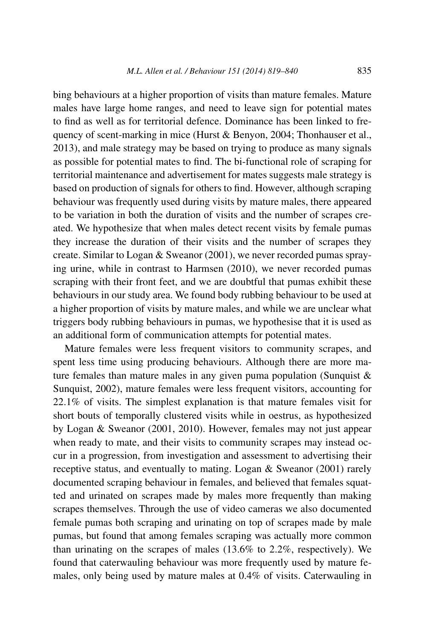bing behaviours at a higher proportion of visits than mature females. Mature males have large home ranges, and need to leave sign for potential mates to find as well as for territorial defence. Dominance has been linked to frequency of scent-marking in mice (Hurst & Benyon, 2004; Thonhauser et al., 2013), and male strategy may be based on trying to produce as many signals as possible for potential mates to find. The bi-functional role of scraping for territorial maintenance and advertisement for mates suggests male strategy is based on production of signals for others to find. However, although scraping behaviour was frequently used during visits by mature males, there appeared to be variation in both the duration of visits and the number of scrapes created. We hypothesize that when males detect recent visits by female pumas they increase the duration of their visits and the number of scrapes they create. Similar to Logan & Sweanor (2001), we never recorded pumas spraying urine, while in contrast to Harmsen (2010), we never recorded pumas scraping with their front feet, and we are doubtful that pumas exhibit these behaviours in our study area. We found body rubbing behaviour to be used at a higher proportion of visits by mature males, and while we are unclear what triggers body rubbing behaviours in pumas, we hypothesise that it is used as an additional form of communication attempts for potential mates.

Mature females were less frequent visitors to community scrapes, and spent less time using producing behaviours. Although there are more mature females than mature males in any given puma population (Sunquist  $\&$ Sunquist, 2002), mature females were less frequent visitors, accounting for 22.1% of visits. The simplest explanation is that mature females visit for short bouts of temporally clustered visits while in oestrus, as hypothesized by Logan & Sweanor (2001, 2010). However, females may not just appear when ready to mate, and their visits to community scrapes may instead occur in a progression, from investigation and assessment to advertising their receptive status, and eventually to mating. Logan & Sweanor (2001) rarely documented scraping behaviour in females, and believed that females squatted and urinated on scrapes made by males more frequently than making scrapes themselves. Through the use of video cameras we also documented female pumas both scraping and urinating on top of scrapes made by male pumas, but found that among females scraping was actually more common than urinating on the scrapes of males (13.6% to 2.2%, respectively). We found that caterwauling behaviour was more frequently used by mature females, only being used by mature males at 0.4% of visits. Caterwauling in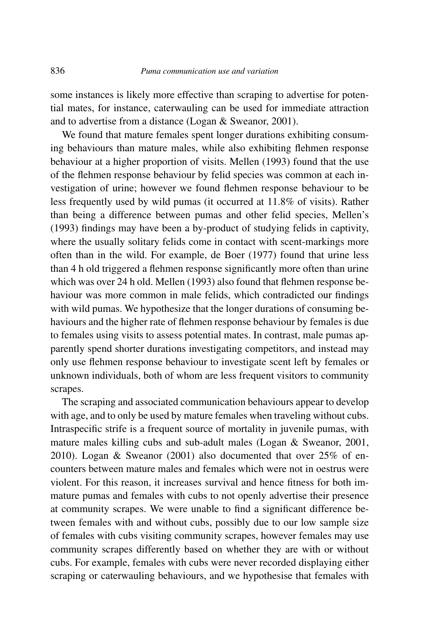some instances is likely more effective than scraping to advertise for potential mates, for instance, caterwauling can be used for immediate attraction and to advertise from a distance (Logan & Sweanor, 2001).

We found that mature females spent longer durations exhibiting consuming behaviours than mature males, while also exhibiting flehmen response behaviour at a higher proportion of visits. Mellen (1993) found that the use of the flehmen response behaviour by felid species was common at each investigation of urine; however we found flehmen response behaviour to be less frequently used by wild pumas (it occurred at 11.8% of visits). Rather than being a difference between pumas and other felid species, Mellen's (1993) findings may have been a by-product of studying felids in captivity, where the usually solitary felids come in contact with scent-markings more often than in the wild. For example, de Boer (1977) found that urine less than 4 h old triggered a flehmen response significantly more often than urine which was over 24 h old. Mellen (1993) also found that flehmen response behaviour was more common in male felids, which contradicted our findings with wild pumas. We hypothesize that the longer durations of consuming behaviours and the higher rate of flehmen response behaviour by females is due to females using visits to assess potential mates. In contrast, male pumas apparently spend shorter durations investigating competitors, and instead may only use flehmen response behaviour to investigate scent left by females or unknown individuals, both of whom are less frequent visitors to community scrapes.

The scraping and associated communication behaviours appear to develop with age, and to only be used by mature females when traveling without cubs. Intraspecific strife is a frequent source of mortality in juvenile pumas, with mature males killing cubs and sub-adult males (Logan & Sweanor, 2001, 2010). Logan & Sweanor (2001) also documented that over 25% of encounters between mature males and females which were not in oestrus were violent. For this reason, it increases survival and hence fitness for both immature pumas and females with cubs to not openly advertise their presence at community scrapes. We were unable to find a significant difference between females with and without cubs, possibly due to our low sample size of females with cubs visiting community scrapes, however females may use community scrapes differently based on whether they are with or without cubs. For example, females with cubs were never recorded displaying either scraping or caterwauling behaviours, and we hypothesise that females with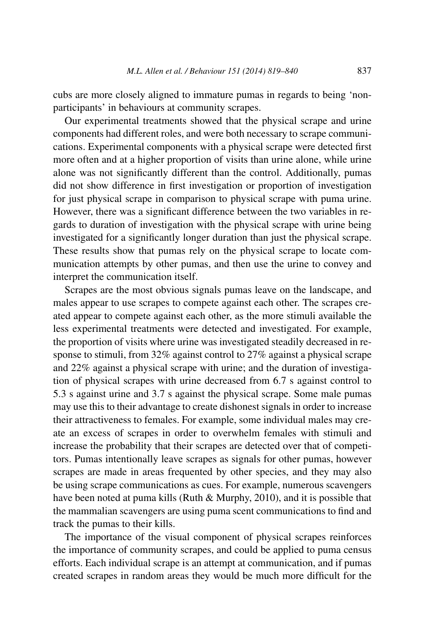cubs are more closely aligned to immature pumas in regards to being 'nonparticipants' in behaviours at community scrapes.

Our experimental treatments showed that the physical scrape and urine components had different roles, and were both necessary to scrape communications. Experimental components with a physical scrape were detected first more often and at a higher proportion of visits than urine alone, while urine alone was not significantly different than the control. Additionally, pumas did not show difference in first investigation or proportion of investigation for just physical scrape in comparison to physical scrape with puma urine. However, there was a significant difference between the two variables in regards to duration of investigation with the physical scrape with urine being investigated for a significantly longer duration than just the physical scrape. These results show that pumas rely on the physical scrape to locate communication attempts by other pumas, and then use the urine to convey and interpret the communication itself.

Scrapes are the most obvious signals pumas leave on the landscape, and males appear to use scrapes to compete against each other. The scrapes created appear to compete against each other, as the more stimuli available the less experimental treatments were detected and investigated. For example, the proportion of visits where urine was investigated steadily decreased in response to stimuli, from 32% against control to 27% against a physical scrape and 22% against a physical scrape with urine; and the duration of investigation of physical scrapes with urine decreased from 6.7 s against control to 5.3 s against urine and 3.7 s against the physical scrape. Some male pumas may use this to their advantage to create dishonest signals in order to increase their attractiveness to females. For example, some individual males may create an excess of scrapes in order to overwhelm females with stimuli and increase the probability that their scrapes are detected over that of competitors. Pumas intentionally leave scrapes as signals for other pumas, however scrapes are made in areas frequented by other species, and they may also be using scrape communications as cues. For example, numerous scavengers have been noted at puma kills (Ruth & Murphy, 2010), and it is possible that the mammalian scavengers are using puma scent communications to find and track the pumas to their kills.

The importance of the visual component of physical scrapes reinforces the importance of community scrapes, and could be applied to puma census efforts. Each individual scrape is an attempt at communication, and if pumas created scrapes in random areas they would be much more difficult for the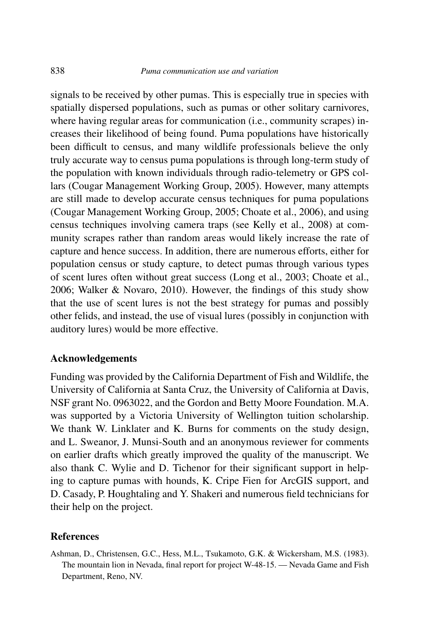signals to be received by other pumas. This is especially true in species with spatially dispersed populations, such as pumas or other solitary carnivores, where having regular areas for communication (i.e., community scrapes) increases their likelihood of being found. Puma populations have historically been difficult to census, and many wildlife professionals believe the only truly accurate way to census puma populations is through long-term study of the population with known individuals through radio-telemetry or GPS collars (Cougar Management Working Group, 2005). However, many attempts are still made to develop accurate census techniques for puma populations (Cougar Management Working Group, 2005; Choate et al., 2006), and using census techniques involving camera traps (see Kelly et al., 2008) at community scrapes rather than random areas would likely increase the rate of capture and hence success. In addition, there are numerous efforts, either for population census or study capture, to detect pumas through various types of scent lures often without great success (Long et al., 2003; Choate et al., 2006; Walker & Novaro, 2010). However, the findings of this study show that the use of scent lures is not the best strategy for pumas and possibly other felids, and instead, the use of visual lures (possibly in conjunction with auditory lures) would be more effective.

#### **Acknowledgements**

Funding was provided by the California Department of Fish and Wildlife, the University of California at Santa Cruz, the University of California at Davis, NSF grant No. 0963022, and the Gordon and Betty Moore Foundation. M.A. was supported by a Victoria University of Wellington tuition scholarship. We thank W. Linklater and K. Burns for comments on the study design, and L. Sweanor, J. Munsi-South and an anonymous reviewer for comments on earlier drafts which greatly improved the quality of the manuscript. We also thank C. Wylie and D. Tichenor for their significant support in helping to capture pumas with hounds, K. Cripe Fien for ArcGIS support, and D. Casady, P. Houghtaling and Y. Shakeri and numerous field technicians for their help on the project.

#### **References**

Ashman, D., Christensen, G.C., Hess, M.L., Tsukamoto, G.K. & Wickersham, M.S. (1983). The mountain lion in Nevada, final report for project W-48-15. — Nevada Game and Fish Department, Reno, NV.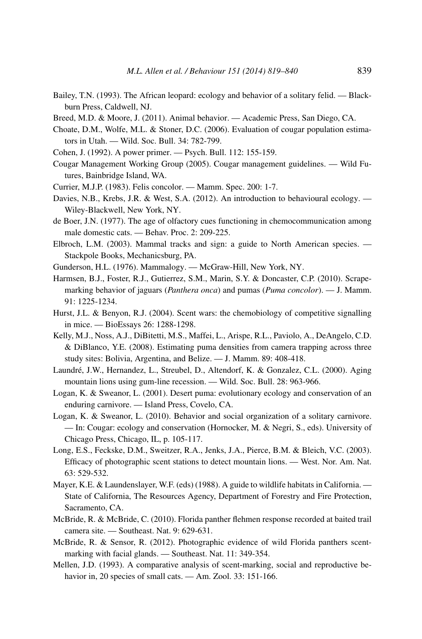- Bailey, T.N. (1993). The African leopard: ecology and behavior of a solitary felid. Blackburn Press, Caldwell, NJ.
- Breed, M.D. & Moore, J. (2011). Animal behavior. Academic Press, San Diego, CA.
- Choate, D.M., Wolfe, M.L. & Stoner, D.C. (2006). Evaluation of cougar population estimators in Utah. — Wild. Soc. Bull. 34: 782-799.
- Cohen, J. (1992). A power primer. Psych. Bull. 112: 155-159.
- Cougar Management Working Group (2005). Cougar management guidelines. Wild Futures, Bainbridge Island, WA.
- Currier, M.J.P. (1983). Felis concolor. Mamm. Spec. 200: 1-7.
- Davies, N.B., Krebs, J.R. & West, S.A. (2012). An introduction to behavioural ecology. Wiley-Blackwell, New York, NY.
- de Boer, J.N. (1977). The age of olfactory cues functioning in chemocommunication among male domestic cats. — Behav. Proc. 2: 209-225.
- Elbroch, L.M. (2003). Mammal tracks and sign: a guide to North American species. Stackpole Books, Mechanicsburg, PA.
- Gunderson, H.L. (1976). Mammalogy. McGraw-Hill, New York, NY.
- Harmsen, B.J., Foster, R.J., Gutierrez, S.M., Marin, S.Y. & Doncaster, C.P. (2010). Scrapemarking behavior of jaguars (*Panthera onca*) and pumas (*Puma concolor*). — J. Mamm. 91: 1225-1234.
- Hurst, J.L. & Benyon, R.J. (2004). Scent wars: the chemobiology of competitive signalling in mice. — BioEssays 26: 1288-1298.
- Kelly, M.J., Noss, A.J., DiBitetti, M.S., Maffei, L., Arispe, R.L., Paviolo, A., DeAngelo, C.D. & DiBlanco, Y.E. (2008). Estimating puma densities from camera trapping across three study sites: Bolivia, Argentina, and Belize. — J. Mamm. 89: 408-418.
- Laundré, J.W., Hernandez, L., Streubel, D., Altendorf, K. & Gonzalez, C.L. (2000). Aging mountain lions using gum-line recession. — Wild. Soc. Bull. 28: 963-966.
- Logan, K. & Sweanor, L. (2001). Desert puma: evolutionary ecology and conservation of an enduring carnivore. — Island Press, Covelo, CA.
- Logan, K. & Sweanor, L. (2010). Behavior and social organization of a solitary carnivore. — In: Cougar: ecology and conservation (Hornocker, M. & Negri, S., eds). University of Chicago Press, Chicago, IL, p. 105-117.
- Long, E.S., Feckske, D.M., Sweitzer, R.A., Jenks, J.A., Pierce, B.M. & Bleich, V.C. (2003). Efficacy of photographic scent stations to detect mountain lions. — West. Nor. Am. Nat. 63: 529-532.
- Mayer, K.E. & Laundenslayer, W.F. (eds) (1988). A guide to wildlife habitats in California. State of California, The Resources Agency, Department of Forestry and Fire Protection, Sacramento, CA.
- McBride, R. & McBride, C. (2010). Florida panther flehmen response recorded at baited trail camera site. — Southeast. Nat. 9: 629-631.
- McBride, R. & Sensor, R. (2012). Photographic evidence of wild Florida panthers scentmarking with facial glands. — Southeast. Nat. 11: 349-354.
- Mellen, J.D. (1993). A comparative analysis of scent-marking, social and reproductive behavior in, 20 species of small cats. — Am. Zool. 33: 151-166.